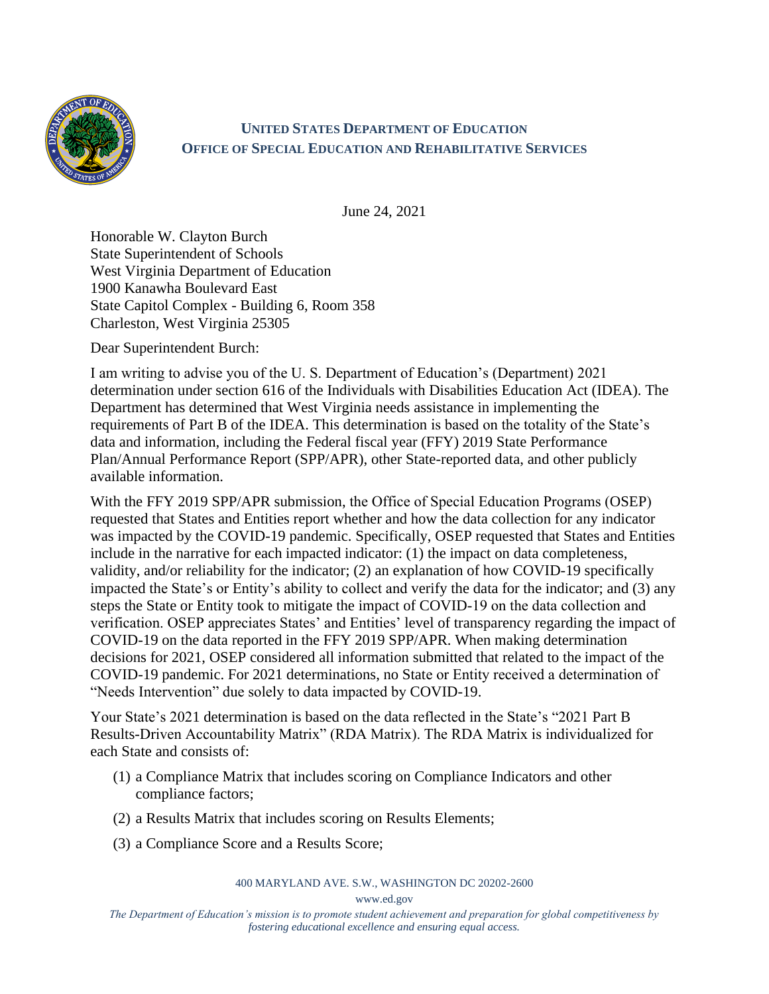

## **UNITED STATES DEPARTMENT OF EDUCATION OFFICE OF SPECIAL EDUCATION AND REHABILITATIVE SERVICES**

June 24, 2021

Honorable W. Clayton Burch State Superintendent of Schools West Virginia Department of Education 1900 Kanawha Boulevard East State Capitol Complex - Building 6, Room 358 Charleston, West Virginia 25305

Dear Superintendent Burch:

I am writing to advise you of the U. S. Department of Education's (Department) 2021 determination under section 616 of the Individuals with Disabilities Education Act (IDEA). The Department has determined that West Virginia needs assistance in implementing the requirements of Part B of the IDEA. This determination is based on the totality of the State's data and information, including the Federal fiscal year (FFY) 2019 State Performance Plan/Annual Performance Report (SPP/APR), other State-reported data, and other publicly available information.

With the FFY 2019 SPP/APR submission, the Office of Special Education Programs (OSEP) requested that States and Entities report whether and how the data collection for any indicator was impacted by the COVID-19 pandemic. Specifically, OSEP requested that States and Entities include in the narrative for each impacted indicator: (1) the impact on data completeness, validity, and/or reliability for the indicator; (2) an explanation of how COVID-19 specifically impacted the State's or Entity's ability to collect and verify the data for the indicator; and (3) any steps the State or Entity took to mitigate the impact of COVID-19 on the data collection and verification. OSEP appreciates States' and Entities' level of transparency regarding the impact of COVID-19 on the data reported in the FFY 2019 SPP/APR. When making determination decisions for 2021, OSEP considered all information submitted that related to the impact of the COVID-19 pandemic. For 2021 determinations, no State or Entity received a determination of "Needs Intervention" due solely to data impacted by COVID-19.

Your State's 2021 determination is based on the data reflected in the State's "2021 Part B Results-Driven Accountability Matrix" (RDA Matrix). The RDA Matrix is individualized for each State and consists of:

- (1) a Compliance Matrix that includes scoring on Compliance Indicators and other compliance factors;
- (2) a Results Matrix that includes scoring on Results Elements;
- (3) a Compliance Score and a Results Score;

## 400 MARYLAND AVE. S.W., WASHINGTON DC 20202-2600

www.ed.gov

*The Department of Education's mission is to promote student achievement and preparation for global competitiveness by fostering educational excellence and ensuring equal access.*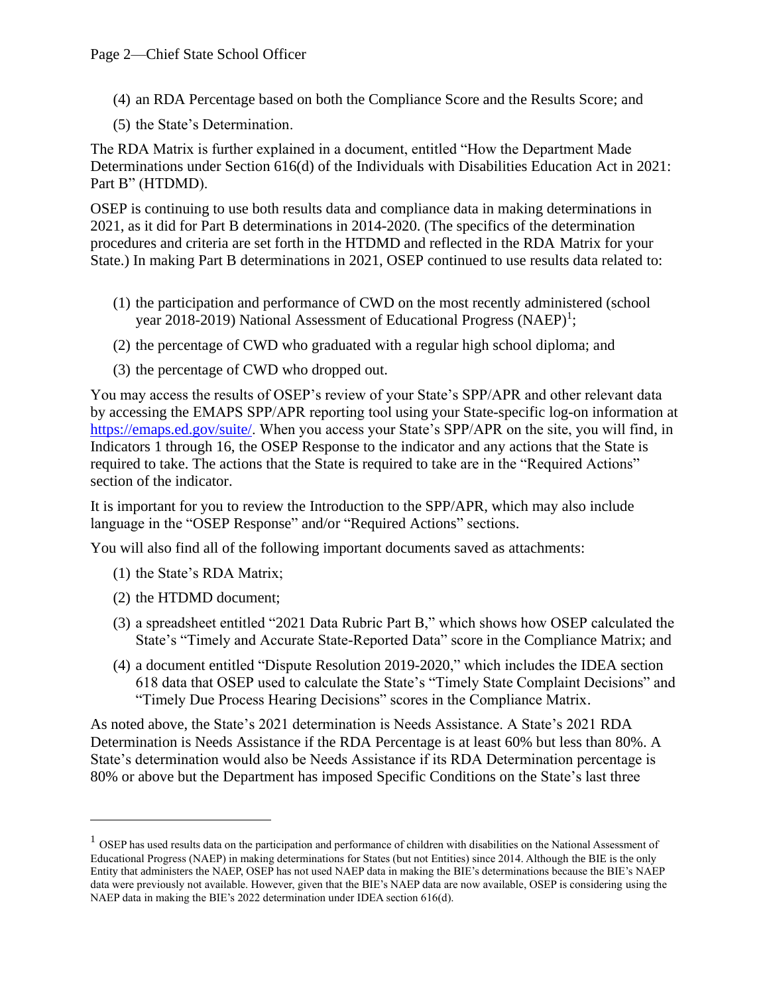- (4) an RDA Percentage based on both the Compliance Score and the Results Score; and
- (5) the State's Determination.

The RDA Matrix is further explained in a document, entitled "How the Department Made Determinations under Section 616(d) of the Individuals with Disabilities Education Act in 2021: Part B" (HTDMD).

OSEP is continuing to use both results data and compliance data in making determinations in 2021, as it did for Part B determinations in 2014-2020. (The specifics of the determination procedures and criteria are set forth in the HTDMD and reflected in the RDA Matrix for your State.) In making Part B determinations in 2021, OSEP continued to use results data related to:

- (1) the participation and performance of CWD on the most recently administered (school year 2018-2019) National Assessment of Educational Progress (NAEP)<sup>1</sup>;
- (2) the percentage of CWD who graduated with a regular high school diploma; and
- (3) the percentage of CWD who dropped out.

You may access the results of OSEP's review of your State's SPP/APR and other relevant data by accessing the EMAPS SPP/APR reporting tool using your State-specific log-on information at [https://emaps.ed.gov/suite/.](https://emaps.ed.gov/suite/) When you access your State's SPP/APR on the site, you will find, in Indicators 1 through 16, the OSEP Response to the indicator and any actions that the State is required to take. The actions that the State is required to take are in the "Required Actions" section of the indicator.

It is important for you to review the Introduction to the SPP/APR, which may also include language in the "OSEP Response" and/or "Required Actions" sections.

You will also find all of the following important documents saved as attachments:

- (1) the State's RDA Matrix;
- (2) the HTDMD document;
- (3) a spreadsheet entitled "2021 Data Rubric Part B," which shows how OSEP calculated the State's "Timely and Accurate State-Reported Data" score in the Compliance Matrix; and
- (4) a document entitled "Dispute Resolution 2019-2020," which includes the IDEA section 618 data that OSEP used to calculate the State's "Timely State Complaint Decisions" and "Timely Due Process Hearing Decisions" scores in the Compliance Matrix.

As noted above, the State's 2021 determination is Needs Assistance. A State's 2021 RDA Determination is Needs Assistance if the RDA Percentage is at least 60% but less than 80%. A State's determination would also be Needs Assistance if its RDA Determination percentage is 80% or above but the Department has imposed Specific Conditions on the State's last three

 $<sup>1</sup>$  OSEP has used results data on the participation and performance of children with disabilities on the National Assessment of</sup> Educational Progress (NAEP) in making determinations for States (but not Entities) since 2014. Although the BIE is the only Entity that administers the NAEP, OSEP has not used NAEP data in making the BIE's determinations because the BIE's NAEP data were previously not available. However, given that the BIE's NAEP data are now available, OSEP is considering using the NAEP data in making the BIE's 2022 determination under IDEA section 616(d).